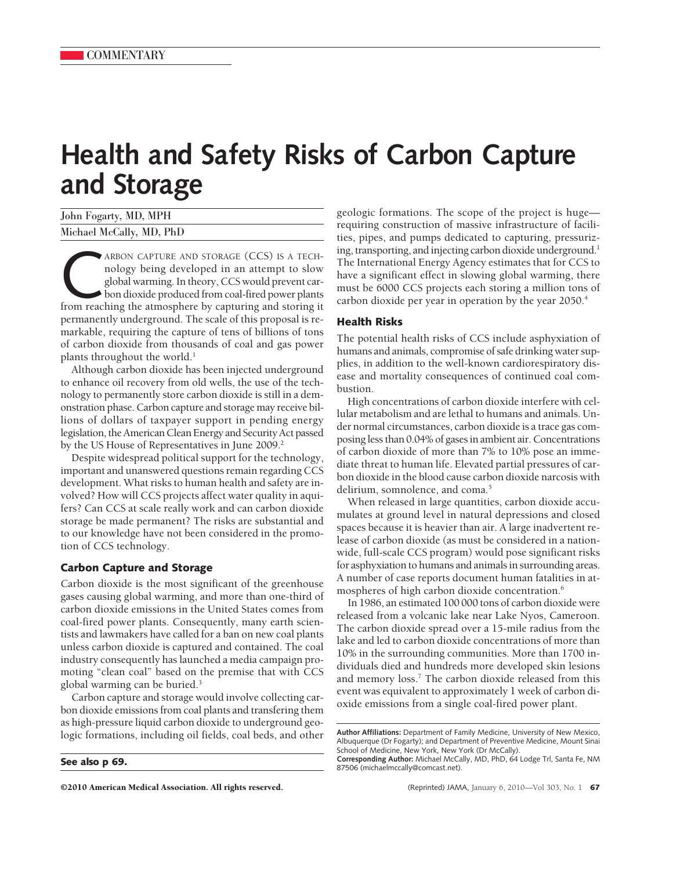# **Health and Safety Risks of Carbon Capture and Storage**

| John Fogarty, MD, MPH    |  |
|--------------------------|--|
| Michael McCally, MD, PhD |  |

ARBON CAPTURE AND STORAGE (CCS) IS A TECH-<br>nology being developed in an attempt to slow<br>global warming. In theory, CCS would prevent car-<br>bon dioxide produced from coal-fired power plants<br>from reaching the atmosphere by ca nology being developed in an attempt to slow global warming. In theory, CCS would prevent carbon dioxide produced from coal-fired power plants permanently underground. The scale of this proposal is remarkable, requiring the capture of tens of billions of tons of carbon dioxide from thousands of coal and gas power plants throughout the world.<sup>1</sup>

Although carbon dioxide has been injected underground to enhance oil recovery from old wells, the use of the technology to permanently store carbon dioxide is still in a demonstration phase. Carbon capture and storage may receive billions of dollars of taxpayer support in pending energy legislation, the American Clean Energy and Security Act passed by the US House of Representatives in June 2009.<sup>2</sup>

Despite widespread political support for the technology, important and unanswered questions remain regarding CCS development. What risks to human health and safety are involved? How will CCS projects affect water quality in aquifers? Can CCS at scale really work and can carbon dioxide storage be made permanent? The risks are substantial and to our knowledge have not been considered in the promotion of CCS technology.

# **Carbon Capture and Storage**

Carbon dioxide is the most significant of the greenhouse gases causing global warming, and more than one-third of carbon dioxide emissions in the United States comes from coal-fired power plants. Consequently, many earth scientists and lawmakers have called for a ban on new coal plants unless carbon dioxide is captured and contained. The coal industry consequently has launched a media campaign promoting "clean coal" based on the premise that with CCS global warming can be buried.3

Carbon capture and storage would involve collecting carbon dioxide emissions from coal plants and transfering them as high-pressure liquid carbon dioxide to underground geologic formations, including oil fields, coal beds, and other

**See also p 69.**

geologic formations. The scope of the project is huge requiring construction of massive infrastructure of facilities, pipes, and pumps dedicated to capturing, pressurizing, transporting, and injecting carbon dioxide underground.<sup>1</sup> The International Energy Agency estimates that for CCS to have a significant effect in slowing global warming, there must be 6000 CCS projects each storing a million tons of carbon dioxide per year in operation by the year 2050.<sup>4</sup>

## **Health Risks**

The potential health risks of CCS include asphyxiation of humans and animals, compromise of safe drinking water supplies, in addition to the well-known cardiorespiratory disease and mortality consequences of continued coal combustion.

High concentrations of carbon dioxide interfere with cellular metabolism and are lethal to humans and animals. Under normal circumstances, carbon dioxide is a trace gas composing less than 0.04% of gases in ambient air. Concentrations of carbon dioxide of more than 7% to 10% pose an immediate threat to human life. Elevated partial pressures of carbon dioxide in the blood cause carbon dioxide narcosis with delirium, somnolence, and coma.<sup>5</sup>

When released in large quantities, carbon dioxide accumulates at ground level in natural depressions and closed spaces because it is heavier than air. A large inadvertent release of carbon dioxide (as must be considered in a nationwide, full-scale CCS program) would pose significant risks for asphyxiation to humans and animals in surrounding areas. A number of case reports document human fatalities in atmospheres of high carbon dioxide concentration.6

In 1986, an estimated 100 000 tons of carbon dioxide were released from a volcanic lake near Lake Nyos, Cameroon. The carbon dioxide spread over a 15-mile radius from the lake and led to carbon dioxide concentrations of more than 10% in the surrounding communities. More than 1700 individuals died and hundreds more developed skin lesions and memory loss.<sup>7</sup> The carbon dioxide released from this event was equivalent to approximately 1 week of carbon dioxide emissions from a single coal-fired power plant.

**Author Affiliations:** Department of Family Medicine, University of New Mexico, Albuquerque (Dr Fogarty); and Department of Preventive Medicine, Mount Sinai School of Medicine, New York, New York (Dr McCally).

**Corresponding Author:** Michael McCally, MD, PhD, 64 Lodge Trl, Santa Fe, NM 87506 (michaelmccally@comcast.net).